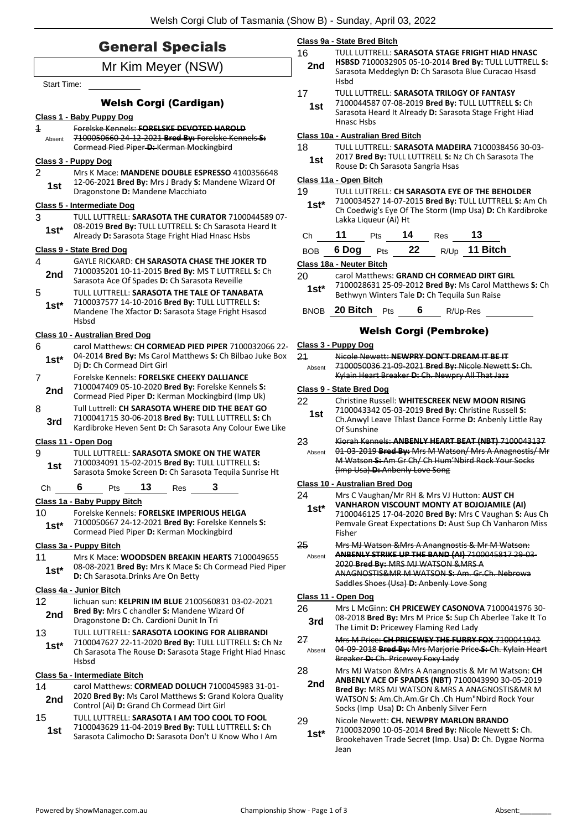|                                                             | <b>General Specials</b>                                                                                            | 16           | Class 9a - State Bred Bitch<br>TULL LUTTRELL: SARASOTA STAGE FRIGHT HIAD HNASC                                                                       |  |  |  |
|-------------------------------------------------------------|--------------------------------------------------------------------------------------------------------------------|--------------|------------------------------------------------------------------------------------------------------------------------------------------------------|--|--|--|
| Mr Kim Meyer (NSW)                                          |                                                                                                                    |              | HSBSD 7100032905 05-10-2014 Bred By: TULL LUTTRELL S:<br>Sarasota Meddeglyn D: Ch Sarasota Blue Curacao Hsasd                                        |  |  |  |
| <b>Start Time:</b>                                          |                                                                                                                    |              | <b>Hsbd</b>                                                                                                                                          |  |  |  |
|                                                             | <b>Welsh Corgi (Cardigan)</b>                                                                                      | 17           | TULL LUTTRELL: SARASOTA TRILOGY OF FANTASY<br>7100044587 07-08-2019 Bred By: TULL LUTTRELL S: Ch                                                     |  |  |  |
|                                                             | Class 1 - Baby Puppy Dog                                                                                           | 1st          | Sarasota Heard It Already D: Sarasota Stage Fright Hiad                                                                                              |  |  |  |
| $\ddagger$                                                  | Forelske Kennels: FORELSKE DEVOTED HAROLD                                                                          |              | Hnasc Hsbs                                                                                                                                           |  |  |  |
| Absent                                                      | 7100050660 24 12 2021 Bred By: Forelske Kennels S:<br>Cormead Pied Piper D: Kerman Mockingbird                     | 18           | Class 10a - Australian Bred Bitch<br>TULL LUTTRELL: SARASOTA MADEIRA 7100038456 30-03-                                                               |  |  |  |
|                                                             | Class 3 - Puppy Dog                                                                                                | 1st          | 2017 Bred By: TULL LUTTRELL S: Nz Ch Ch Sarasota The                                                                                                 |  |  |  |
| $\overline{2}$                                              | Mrs K Mace: MANDENE DOUBLE ESPRESSO 4100356648                                                                     |              | Rouse D: Ch Sarasota Sangria Hsas                                                                                                                    |  |  |  |
| 12-06-2021 Bred By: Mrs J Brady S: Mandene Wizard Of<br>1st |                                                                                                                    | 19           | Class 11a - Open Bitch                                                                                                                               |  |  |  |
|                                                             | Dragonstone D: Mandene Macchiato<br>Class 5 - Intermediate Dog                                                     | $1st*$       | TULL LUTTRELL: CH SARASOTA EYE OF THE BEHOLDER<br>7100034527 14-07-2015 Bred By: TULL LUTTRELL S: Am Ch                                              |  |  |  |
| 3                                                           | TULL LUTTRELL: SARASOTA THE CURATOR 7100044589 07-                                                                 |              | Ch Coedwig's Eye Of The Storm (Imp Usa) D: Ch Kardibroke<br>Lakka Liqueur (Ai) Ht                                                                    |  |  |  |
| $1st*$                                                      | 08-2019 Bred By: TULL LUTTRELL S: Ch Sarasota Heard It                                                             |              |                                                                                                                                                      |  |  |  |
|                                                             | Already D: Sarasota Stage Fright Hiad Hnasc Hsbs                                                                   | Ch           | 11<br>14<br>13<br>Pts<br>Res                                                                                                                         |  |  |  |
| $\overline{4}$                                              | Class 9 - State Bred Dog<br><b>GAYLE RICKARD: CH SARASOTA CHASE THE JOKER TD</b>                                   | <b>BOB</b>   | R/Up 11 Bitch<br>6 Dog<br>22<br>Pts                                                                                                                  |  |  |  |
| 2nd                                                         | 7100035201 10-11-2015 Bred By: MS T LUTTRELL S: Ch                                                                 | 20           | Class 18a - Neuter Bitch<br>carol Matthews: GRAND CH CORMEAD DIRT GIRL                                                                               |  |  |  |
|                                                             | Sarasota Ace Of Spades D: Ch Sarasota Reveille                                                                     | $1st*$       | 7100028631 25-09-2012 Bred By: Ms Carol Matthews S: Ch                                                                                               |  |  |  |
| 5<br>$1st*$                                                 | TULL LUTTRELL: SARASOTA THE TALE OF TANABATA<br>7100037577 14-10-2016 Bred By: TULL LUTTRELL S:                    |              | Bethwyn Winters Tale D: Ch Tequila Sun Raise                                                                                                         |  |  |  |
|                                                             | Mandene The Xfactor D: Sarasota Stage Fright Hsascd<br><b>Hsbsd</b>                                                |              | BNOB 20 Bitch Pts<br>6<br>R/Up-Res                                                                                                                   |  |  |  |
|                                                             | Class 10 - Australian Bred Dog                                                                                     |              | <b>Welsh Corgi (Pembroke)</b>                                                                                                                        |  |  |  |
| 6                                                           | carol Matthews: CH CORMEAD PIED PIPER 7100032066 22-                                                               | 24           | Class 3 - Puppy Dog                                                                                                                                  |  |  |  |
| $1st*$                                                      | 04-2014 Bred By: Ms Carol Matthews S: Ch Bilbao Juke Box<br>Dj D: Ch Cormead Dirt Girl                             | Absent       | Nicole Newett: NEWPRY DON'T DREAM IT BE IT<br>7100050036 21-09-2021 Bred By: Nicole Newett S: Ch.                                                    |  |  |  |
| $\overline{7}$                                              | Forelske Kennels: FORELSKE CHEEKY DALLIANCE                                                                        |              | Kylain Heart Breaker-D: Ch. Newpry All That Jazz                                                                                                     |  |  |  |
| 2nd                                                         | 7100047409 05-10-2020 Bred By: Forelske Kennels S:<br>Cormead Pied Piper D: Kerman Mockingbird (Imp Uk)            |              | Class 9 - State Bred Dog                                                                                                                             |  |  |  |
| 8                                                           | Tull Luttrell: CH SARASOTA WHERE DID THE BEAT GO                                                                   | 22           | Christine Russell: WHITESCREEK NEW MOON RISING<br>7100043342 05-03-2019 Bred By: Christine Russell S:                                                |  |  |  |
| 3rd                                                         | 7100041715 30-06-2018 Bred By: TULL LUTTRELL S: Ch<br>Kardibroke Heven Sent D: Ch Sarasota Any Colour Ewe Like     | 1st          | Ch.Anwyl Leave Thlast Dance Forme D: Anbenly Little Ray                                                                                              |  |  |  |
|                                                             | Class 11 - Open Dog                                                                                                | 23           | Of Sunshine<br>Kiorah Kennels: ANBENLY HEART BEAT (NBT) 7100043137                                                                                   |  |  |  |
| 9                                                           | TULL LUTTRELL: SARASOTA SMOKE ON THE WATER                                                                         | Absent       | 01-03-2019 Bred By: Mrs M Watson/ Mrs A Anagnostis/ Mr                                                                                               |  |  |  |
| 1st                                                         | 7100034091 15-02-2015 Bred By: TULL LUTTRELL S:<br>Sarasota Smoke Screen D: Ch Sarasota Tequila Sunrise Ht         |              | M Watson S: Am Gr Ch/ Ch Hum'Nbird Rock Your Socks<br>(Imp Usa) D: Anbenly Love Song                                                                 |  |  |  |
| Ch                                                          | 3<br>6<br>13<br>Pts<br>Res                                                                                         |              | <b>Class 10 - Australian Bred Dog</b>                                                                                                                |  |  |  |
|                                                             | Class 1a - Baby Puppy Bitch                                                                                        | 24<br>$1st*$ | Mrs C Vaughan/Mr RH & Mrs VJ Hutton: AUST CH<br><b>VANHARON VISCOUNT MONTY AT BOJOJAMILE (AI)</b>                                                    |  |  |  |
| 10                                                          | Forelske Kennels: FORELSKE IMPERIOUS HELGA<br>7100050667 24-12-2021 Bred By: Forelske Kennels S:                   |              | 7100046125 17-04-2020 Bred By: Mrs C Vaughan S: Aus Ch<br>Pemvale Great Expectations D: Aust Sup Ch Vanharon Miss                                    |  |  |  |
| $1st*$                                                      | Cormead Pied Piper D: Kerman Mockingbird                                                                           |              | Fisher                                                                                                                                               |  |  |  |
|                                                             | Class 3a - Puppy Bitch                                                                                             | 25           | Mrs MJ Watson & Mrs A Anangnostis & Mr M Watson:                                                                                                     |  |  |  |
| 11                                                          | Mrs K Mace: WOODSDEN BREAKIN HEARTS 7100049655                                                                     | Absent       | ANBENLY STRIKE UP THE BAND (AI) 7100045817 29 03<br>2020 Bred By: MRS MJ WATSON & MRS A                                                              |  |  |  |
| $1st^*$                                                     | 08-08-2021 Bred By: Mrs K Mace S: Ch Cormead Pied Piper<br>D: Ch Sarasota. Drinks Are On Betty                     |              | ANAGNOSTIS&MR M WATSON S: Am. Gr.Ch. Nebrowa                                                                                                         |  |  |  |
|                                                             | Class 4a - Junior Bitch                                                                                            |              | Saddles Shoes (Usa) D: Anbenly Love Song                                                                                                             |  |  |  |
| 12 <sup>2</sup>                                             | lichuan sun: KELPRIN IM BLUE 2100560831 03-02-2021                                                                 | 26           | Class 11 - Open Dog<br>Mrs L McGinn: CH PRICEWEY CASONOVA 7100041976 30-                                                                             |  |  |  |
| 2nd                                                         | Bred By: Mrs C chandler S: Mandene Wizard Of<br>Dragonstone D: Ch. Cardioni Dunit In Tri                           | 3rd          | 08-2018 Bred By: Mrs M Price S: Sup Ch Aberlee Take It To                                                                                            |  |  |  |
| 13                                                          | TULL LUTTRELL: SARASOTA LOOKING FOR ALIBRANDI                                                                      |              | The Limit D: Pricewey Flaming Red Lady                                                                                                               |  |  |  |
| $1st*$                                                      | 7100047627 22-11-2020 Bred By: TULL LUTTRELL S: Ch Nz<br>Ch Sarasota The Rouse D: Sarasota Stage Fright Hiad Hnasc | 27<br>Absent | Mrs M Price: CH PRICEWEY THE FURRY FOX 7100041942<br>04-09-2018 Bred By: Mrs Marjorie Price S: Ch. Kylain Heart<br>Breaker D: Ch. Pricewey Foxy Lady |  |  |  |
|                                                             | Hsbsd                                                                                                              | 28           | Mrs MJ Watson & Mrs A Anangnostis & Mr M Watson: CH                                                                                                  |  |  |  |
| 14                                                          | Class 5a - Intermediate Bitch<br>carol Matthews: CORMEAD DOLUCH 7100045983 31-01-                                  | 2nd          | ANBENLY ACE OF SPADES (NBT) 7100043990 30-05-2019<br>Bred By: MRS MJ WATSON & MRS A ANAGNOSTIS& MR M                                                 |  |  |  |
| 2nd                                                         | 2020 Bred By: Ms Carol Matthews S: Grand Kolora Quality<br>Control (Ai) D: Grand Ch Cormead Dirt Girl              |              | WATSON S: Am.Ch.Am.Gr Ch .Ch Hum"Nbird Rock Your<br>Socks (Imp Usa) D: Ch Anbenly Silver Fern                                                        |  |  |  |
| 15                                                          | TULL LUTTRELL: SARASOTA I AM TOO COOL TO FOOL                                                                      | 29           | Nicole Newett: CH. NEWPRY MARLON BRANDO                                                                                                              |  |  |  |
| 1st                                                         | 7100043629 11-04-2019 Bred By: TULL LUTTRELL S: Ch<br>Sarasota Calimocho D: Sarasota Don't U Know Who I Am         | $1st*$       | 7100032090 10-05-2014 Bred By: Nicole Newett S: Ch.<br>Brookehaven Trade Secret (Imp. Usa) D: Ch. Dygae Norma                                        |  |  |  |

Jean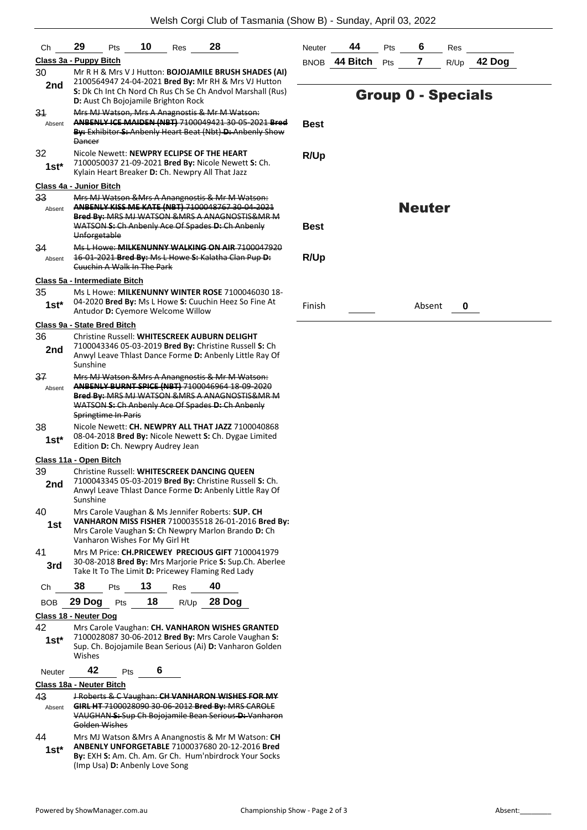| Сh      | 10<br>28<br>29<br>Pts<br>Res                                                                                       | N  |
|---------|--------------------------------------------------------------------------------------------------------------------|----|
|         | Class 3a - Puppy Bitch                                                                                             | в  |
| 30      | Mr R H & Mrs V J Hutton: BOJOJAMILE BRUSH SHADES (AI)                                                              |    |
| 2nd     | 2100564947 24-04-2021 Bred By: Mr RH & Mrs VJ Hutton<br>S: Dk Ch Int Ch Nord Ch Rus Ch Se Ch Andvol Marshall (Rus) |    |
|         | D: Aust Ch Bojojamile Brighton Rock                                                                                |    |
| 31      | Mrs MJ Watson, Mrs A Anagnostis & Mr M Watson:                                                                     |    |
| Absent  | ANBENLY ICE MAIDEN (NBT) 7100049421 30 05 2021 Bred<br>By: Exhibitor S: Anbenly Heart Beat (Nbt) D: Anbenly Show   | в  |
|         | Dancer                                                                                                             |    |
| 32      | Nicole Newett: NEWPRY ECLIPSE OF THE HEART                                                                         | R  |
| $1st^*$ | 7100050037 21-09-2021 Bred By: Nicole Newett S: Ch.<br>Kylain Heart Breaker D: Ch. Newpry All That Jazz            |    |
|         | Class 4a - Junior Bitch                                                                                            |    |
| 33      | Mrs MJ Watson & Mrs A Anangnostis & Mr M Watson:                                                                   |    |
| Absent  | ANBENLY KISS ME KATE (NBT) 7100048767 30-04-2021                                                                   |    |
|         | Bred By: MRS MJ WATSON & MRS A ANAGNOSTIS& MR M<br>WATSON S: Ch Anbenly Ace Of Spades D: Ch Anbenly                | В  |
|         | Unforgetable                                                                                                       |    |
| 34      | Ms L Howe: MILKENUNNY WALKING ON AIR 7100047920                                                                    |    |
| Absent  | 16 01 2021 Bred By: Ms L Howe S: Kalatha Clan Pup D:<br><b>Cuuchin A Walk In The Park</b>                          | R  |
|         |                                                                                                                    |    |
| 35      | Class 5a - Intermediate Bitch<br>Ms L Howe: MILKENUNNY WINTER ROSE 7100046030 18-                                  |    |
| $1st^*$ | 04-2020 Bred By: Ms L Howe S: Cuuchin Heez So Fine At                                                              | Fi |
|         | Antudor D: Cyemore Welcome Willow                                                                                  |    |
|         | Class 9a - State Bred Bitch                                                                                        |    |
| 36      | Christine Russell: WHITESCREEK AUBURN DELIGHT<br>7100043346 05-03-2019 Bred By: Christine Russell S: Ch            |    |
| 2nd     | Anwyl Leave Thlast Dance Forme D: Anbenly Little Ray Of                                                            |    |
|         | Sunshine                                                                                                           |    |
| 37      | Mrs MJ Watson & Mrs A Anangnostis & Mr M Watson:<br>ANBENLY BURNT SPICE (NBT) 7100046964 18-09-2020                |    |
| Absent  | Bred By: MRS MJ WATSON & MRS A ANAGNOSTIS& MR M                                                                    |    |
|         | WATSON S: Ch Anbenly Ace Of Spades D: Ch Anbenly                                                                   |    |
| 38      | Springtime In Paris<br>Nicole Newett: CH. NEWPRY ALL THAT JAZZ 7100040868                                          |    |
| 1st*    | 08-04-2018 Bred By: Nicole Newett S: Ch. Dygae Limited                                                             |    |
|         | Edition D: Ch. Newpry Audrey Jean                                                                                  |    |
|         | Class 11a - Open Bitch                                                                                             |    |
| 39      | Christine Russell: WHITESCREEK DANCING QUEEN<br>7100043345 05-03-2019 Bred By: Christine Russell S: Ch.            |    |
| 2nd     | Anwyl Leave Thlast Dance Forme D: Anbenly Little Ray Of                                                            |    |
|         | Sunshine                                                                                                           |    |
| 40      | Mrs Carole Vaughan & Ms Jennifer Roberts: SUP. CH                                                                  |    |
| 1st     | VANHARON MISS FISHER 7100035518 26-01-2016 Bred By:<br>Mrs Carole Vaughan S: Ch Newpry Marlon Brando D: Ch         |    |
|         | Vanharon Wishes For My Girl Ht                                                                                     |    |
| 41      | Mrs M Price: CH.PRICEWEY PRECIOUS GIFT 7100041979                                                                  |    |
| 3rd     | 30-08-2018 Bred By: Mrs Marjorie Price S: Sup.Ch. Aberlee                                                          |    |
|         |                                                                                                                    |    |
|         | Take It To The Limit D: Pricewey Flaming Red Lady                                                                  |    |
| Сh      | 38<br>13<br>40<br>Pts<br>Res                                                                                       |    |
| BOB     | R/Up 28 Dog<br>18<br>29 Dog<br>Pts                                                                                 |    |
|         | Class 18 - Neuter Dog                                                                                              |    |
| 42      | Mrs Carole Vaughan: CH. VANHARON WISHES GRANTED                                                                    |    |
| 1st*    | 7100028087 30-06-2012 Bred By: Mrs Carole Vaughan S:<br>Sup. Ch. Bojojamile Bean Serious (Ai) D: Vanharon Golden   |    |
|         | Wishes                                                                                                             |    |
| Neuter  | 42<br>6<br>Pts                                                                                                     |    |
|         | Class 18a - Neuter Bitch                                                                                           |    |
| 43      | <b>J Roberts &amp; C Vaughan: CH VANHARON WISHES FOR MY</b>                                                        |    |
| Absent  | GIRL HT 7100028090 30-06-2012 Bred By: MRS CAROLE<br>VAUGHAN-S: Sup Ch Bojojamile Bean Serious-D: Vanharon         |    |
| 44      | Golden Wishes<br>Mrs MJ Watson & Mrs A Anangnostis & Mr M Watson: CH                                               |    |

**By:** EXH **S:** Am. Ch. Am. Gr Ch. Hum'nbirdrock Your Socks (Imp Usa) **D:** Anbenly Love Song **1st\***

| Neuter | 44                | <b>Pts</b> | Res |               |
|--------|-------------------|------------|-----|---------------|
|        | BNOB 44 Bitch Pts |            |     | $R/Up$ 42 Dog |

## Group 0 - Specials

| Best |  |
|------|--|
| R/Up |  |

Neuter

**Best**

**R/Up**

Finish Absent **0**